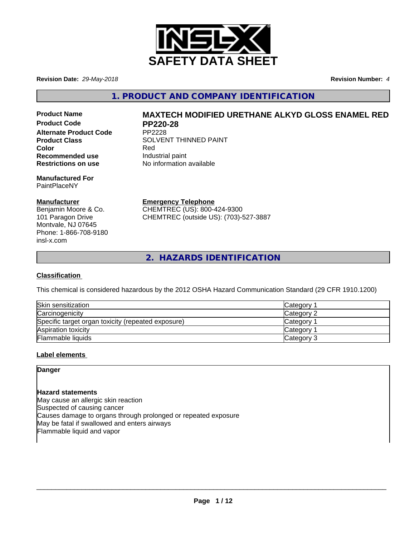

**Revision Date:** *29-May-2018* **Revision Number:** *4*

**1. PRODUCT AND COMPANY IDENTIFICATION**

**Product Code PP220-28 Alternate Product Code** PP2228 **Recommended use Industrial paint**<br> **Restrictions on use No information** 

**Manufactured For** PaintPlaceNY

#### **Manufacturer**

Benjamin Moore & Co. 101 Paragon Drive Montvale, NJ 07645 Phone: 1-866-708-9180 insl-x.com

# **Product Name MAXTECH MODIFIED URETHANE ALKYD GLOSS ENAMEL RED**

**Product Class SOLVENT THINNED PAINT Color** Red **No information available** 

> **Emergency Telephone** CHEMTREC (US): 800-424-9300 CHEMTREC (outside US): (703)-527-3887

**2. HAZARDS IDENTIFICATION**

#### **Classification**

This chemical is considered hazardous by the 2012 OSHA Hazard Communication Standard (29 CFR 1910.1200)

| Skin sensitization                                 | Category   |
|----------------------------------------------------|------------|
| Carcinogenicity                                    | Category 2 |
| Specific target organ toxicity (repeated exposure) | Category   |
| Aspiration toxicity                                | Category 1 |
| <b>Flammable liquids</b>                           | Category 3 |

#### **Label elements**

#### **Danger**

#### **Hazard statements**

May cause an allergic skin reaction Suspected of causing cancer Causes damage to organs through prolonged or repeated exposure May be fatal if swallowed and enters airways Flammable liquid and vapor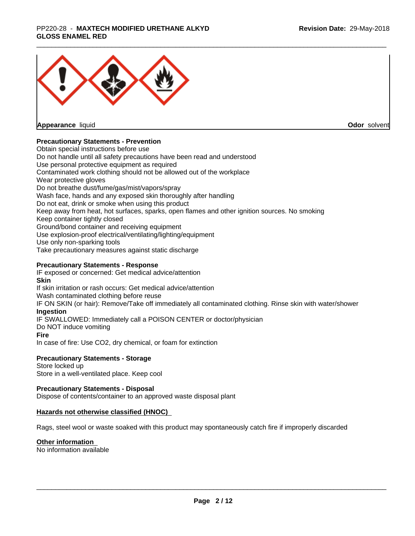#### \_\_\_\_\_\_\_\_\_\_\_\_\_\_\_\_\_\_\_\_\_\_\_\_\_\_\_\_\_\_\_\_\_\_\_\_\_\_\_\_\_\_\_\_\_\_\_\_\_\_\_\_\_\_\_\_\_\_\_\_\_\_\_\_\_\_\_\_\_\_\_\_\_\_\_\_\_\_\_\_\_\_\_\_\_\_\_\_\_\_\_\_\_ PP220-28 - **MAXTECH MODIFIED URETHANE ALKYD GLOSS ENAMEL RED**



**Appearance** liquid

**Odor** solvent

#### **Precautionary Statements - Prevention**

Obtain special instructions before use Do not handle until all safety precautions have been read and understood Use personal protective equipment as required Contaminated work clothing should not be allowed out of the workplace Wear protective gloves Do not breathe dust/fume/gas/mist/vapors/spray Wash face, hands and any exposed skin thoroughly after handling Do not eat, drink or smoke when using this product Keep away from heat, hot surfaces, sparks, open flames and other ignition sources. No smoking Keep container tightly closed Ground/bond container and receiving equipment Use explosion-proof electrical/ventilating/lighting/equipment Use only non-sparking tools Take precautionary measures against static discharge

#### **Precautionary Statements - Response**

IF exposed or concerned: Get medical advice/attention **Skin** If skin irritation or rash occurs: Get medical advice/attention Wash contaminated clothing before reuse IF ON SKIN (or hair): Remove/Take off immediately all contaminated clothing. Rinse skin with water/shower **Ingestion** IF SWALLOWED: Immediately call a POISON CENTER or doctor/physician Do NOT induce vomiting **Fire** In case of fire: Use CO2, dry chemical, or foam for extinction

#### **Precautionary Statements - Storage**

Store locked up Store in a well-ventilated place. Keep cool

#### **Precautionary Statements - Disposal**

Dispose of contents/container to an approved waste disposal plant

#### **Hazards not otherwise classified (HNOC)**

Rags, steel wool or waste soaked with this product may spontaneously catch fire if improperly discarded

#### **Other information**

No information available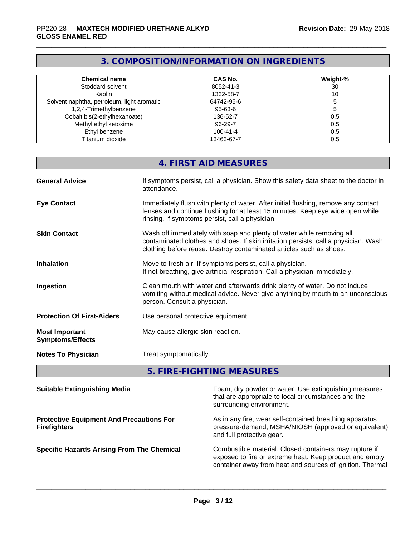# **3. COMPOSITION/INFORMATION ON INGREDIENTS**

| <b>Chemical name</b>                       | <b>CAS No.</b> | Weight-% |
|--------------------------------------------|----------------|----------|
|                                            |                |          |
| Stoddard solvent                           | 8052-41-3      | 30       |
| Kaolin                                     | 1332-58-7      |          |
| Solvent naphtha, petroleum, light aromatic | 64742-95-6     |          |
| 1,2,4-Trimethylbenzene                     | 95-63-6        |          |
| Cobalt bis(2-ethylhexanoate)               | 136-52-7       | 0.5      |
| Methyl ethyl ketoxime                      | 96-29-7        | 0.5      |
| Ethyl benzene                              | $100 - 41 - 4$ | 0.5      |
| Titanium dioxide                           | 13463-67-7     | 0.5      |

# **4. FIRST AID MEASURES**

| <b>General Advice</b>                            | If symptoms persist, call a physician. Show this safety data sheet to the doctor in<br>attendance.                                                                                                                                  |
|--------------------------------------------------|-------------------------------------------------------------------------------------------------------------------------------------------------------------------------------------------------------------------------------------|
| <b>Eye Contact</b>                               | Immediately flush with plenty of water. After initial flushing, remove any contact<br>lenses and continue flushing for at least 15 minutes. Keep eye wide open while<br>rinsing. If symptoms persist, call a physician.             |
| <b>Skin Contact</b>                              | Wash off immediately with soap and plenty of water while removing all<br>contaminated clothes and shoes. If skin irritation persists, call a physician. Wash<br>clothing before reuse. Destroy contaminated articles such as shoes. |
| <b>Inhalation</b>                                | Move to fresh air. If symptoms persist, call a physician.<br>If not breathing, give artificial respiration. Call a physician immediately.                                                                                           |
| Ingestion                                        | Clean mouth with water and afterwards drink plenty of water. Do not induce<br>vomiting without medical advice. Never give anything by mouth to an unconscious<br>person. Consult a physician.                                       |
| <b>Protection Of First-Aiders</b>                | Use personal protective equipment.                                                                                                                                                                                                  |
| <b>Most Important</b><br><b>Symptoms/Effects</b> | May cause allergic skin reaction.                                                                                                                                                                                                   |
| <b>Notes To Physician</b>                        | Treat symptomatically.                                                                                                                                                                                                              |

**5. FIRE-FIGHTING MEASURES**

| <b>Suitable Extinguishing Media</b>                                    | Foam, dry powder or water. Use extinguishing measures<br>that are appropriate to local circumstances and the<br>surrounding environment.                                       |
|------------------------------------------------------------------------|--------------------------------------------------------------------------------------------------------------------------------------------------------------------------------|
| <b>Protective Equipment And Precautions For</b><br><b>Firefighters</b> | As in any fire, wear self-contained breathing apparatus<br>pressure-demand, MSHA/NIOSH (approved or equivalent)<br>and full protective gear.                                   |
| <b>Specific Hazards Arising From The Chemical</b>                      | Combustible material. Closed containers may rupture if<br>exposed to fire or extreme heat. Keep product and empty<br>container away from heat and sources of ignition. Thermal |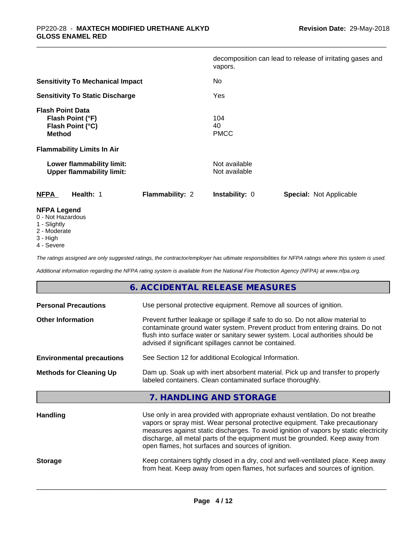|                                                                                  |                 | vapors.                        | decomposition can lead to release of irritating gases and |
|----------------------------------------------------------------------------------|-----------------|--------------------------------|-----------------------------------------------------------|
| <b>Sensitivity To Mechanical Impact</b>                                          |                 | No                             |                                                           |
| <b>Sensitivity To Static Discharge</b>                                           |                 | Yes                            |                                                           |
| <b>Flash Point Data</b><br>Flash Point (°F)<br>Flash Point (°C)<br><b>Method</b> |                 | 104<br>40<br><b>PMCC</b>       |                                                           |
| <b>Flammability Limits In Air</b>                                                |                 |                                |                                                           |
| Lower flammability limit:<br><b>Upper flammability limit:</b>                    |                 | Not available<br>Not available |                                                           |
| <b>NFPA</b><br>Health: 1                                                         | Flammability: 2 | <b>Instability: 0</b>          | <b>Special: Not Applicable</b>                            |
| <b>NFPA Legend</b><br>0 - Not Hazardous                                          |                 |                                |                                                           |

- 1 Slightly
- 2 Moderate
- 3 High
- 4 Severe

*The ratings assigned are only suggested ratings, the contractor/employer has ultimate responsibilities for NFPA ratings where this system is used.*

*Additional information regarding the NFPA rating system is available from the National Fire Protection Agency (NFPA) at www.nfpa.org.*

|                                  | 6. ACCIDENTAL RELEASE MEASURES                                                                                                                                                                                                                                                                                                                                                                |
|----------------------------------|-----------------------------------------------------------------------------------------------------------------------------------------------------------------------------------------------------------------------------------------------------------------------------------------------------------------------------------------------------------------------------------------------|
| <b>Personal Precautions</b>      | Use personal protective equipment. Remove all sources of ignition.                                                                                                                                                                                                                                                                                                                            |
| <b>Other Information</b>         | Prevent further leakage or spillage if safe to do so. Do not allow material to<br>contaminate ground water system. Prevent product from entering drains. Do not<br>flush into surface water or sanitary sewer system. Local authorities should be<br>advised if significant spillages cannot be contained.                                                                                    |
| <b>Environmental precautions</b> | See Section 12 for additional Ecological Information.                                                                                                                                                                                                                                                                                                                                         |
| <b>Methods for Cleaning Up</b>   | Dam up. Soak up with inert absorbent material. Pick up and transfer to properly<br>labeled containers. Clean contaminated surface thoroughly.                                                                                                                                                                                                                                                 |
|                                  | 7. HANDLING AND STORAGE                                                                                                                                                                                                                                                                                                                                                                       |
| <b>Handling</b>                  | Use only in area provided with appropriate exhaust ventilation. Do not breathe<br>vapors or spray mist. Wear personal protective equipment. Take precautionary<br>measures against static discharges. To avoid ignition of vapors by static electricity<br>discharge, all metal parts of the equipment must be grounded. Keep away from<br>open flames, hot surfaces and sources of ignition. |
| <b>Storage</b>                   | Keep containers tightly closed in a dry, cool and well-ventilated place. Keep away<br>from heat. Keep away from open flames, hot surfaces and sources of ignition.                                                                                                                                                                                                                            |
|                                  |                                                                                                                                                                                                                                                                                                                                                                                               |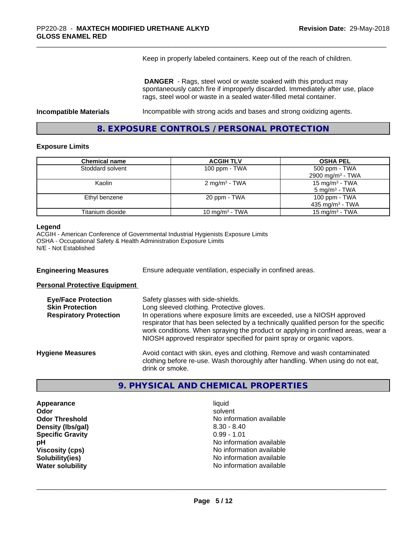Keep in properly labeled containers. Keep out of the reach of children.

 **DANGER** - Rags, steel wool or waste soaked with this product may spontaneously catch fire if improperly discarded. Immediately after use, place rags, steel wool or waste in a sealed water-filled metal container.

**Incompatible Materials Incompatible with strong acids and bases and strong oxidizing agents.** 

**8. EXPOSURE CONTROLS / PERSONAL PROTECTION**

#### **Exposure Limits**

| <b>Chemical name</b> | <b>ACGIH TLV</b>           | <b>OSHA PEL</b>              |
|----------------------|----------------------------|------------------------------|
| Stoddard solvent     | 100 ppm - $TWA$            | 500 ppm - TWA                |
|                      |                            | 2900 mg/m <sup>3</sup> - TWA |
| Kaolin               | 2 mg/m <sup>3</sup> - TWA  | 15 mg/m <sup>3</sup> - TWA   |
|                      |                            | $5 \text{ mg/m}^3$ - TWA     |
| Ethyl benzene        | 20 ppm - TWA               | 100 ppm $-$ TWA              |
|                      |                            | 435 mg/m <sup>3</sup> - TWA  |
| Titanium dioxide     | 10 mg/m <sup>3</sup> - TWA | 15 mg/m <sup>3</sup> - TWA   |

#### **Legend**

ACGIH - American Conference of Governmental Industrial Hygienists Exposure Limits OSHA - Occupational Safety & Health Administration Exposure Limits N/E - Not Established

**Engineering Measures** Ensure adequate ventilation, especially in confined areas.

#### **Personal Protective Equipment**

| Safety glasses with side-shields.<br>Long sleeved clothing. Protective gloves.<br>In operations where exposure limits are exceeded, use a NIOSH approved<br>respirator that has been selected by a technically qualified person for the specific<br>work conditions. When spraying the product or applying in confined areas, wear a<br>NIOSH approved respirator specified for paint spray or organic vapors. |
|----------------------------------------------------------------------------------------------------------------------------------------------------------------------------------------------------------------------------------------------------------------------------------------------------------------------------------------------------------------------------------------------------------------|
| Avoid contact with skin, eyes and clothing. Remove and wash contaminated<br>clothing before re-use. Wash thoroughly after handling. When using do not eat,<br>drink or smoke.                                                                                                                                                                                                                                  |
|                                                                                                                                                                                                                                                                                                                                                                                                                |

#### **9. PHYSICAL AND CHEMICAL PROPERTIES**

**Appearance** liquid **Density (Ibs/gal)** 8.30 - 8.40 **Specific Gravity** 0.99 - 1.01

**Odor** solvent **Odor Threshold** No information available **pH pH**  $\blacksquare$ **Viscosity (cps)** No information available<br> **Solubility(ies)** No information available<br>
No information available **Solubility(ies)**<br> **No information available**<br> **Water solubility**<br> **Water solubility No information available**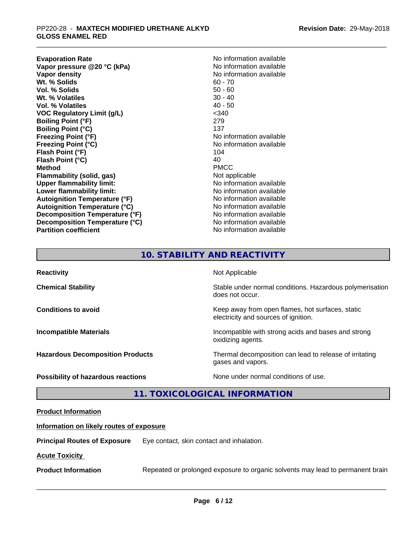**Evaporation Rate Conservation Rate No information available**<br> **Vapor pressure @20 °C (kPa)** No information available **Vapor pressure @20 °C (kPa)**<br>Vapor density **Wt. % Solids** 60 - 70<br> **Vol. % Solids** 60 - 70<br> **Vol. % Solids** 60 - 60 **Vol. % Solids** 50 - 60<br> **Wt. % Volatiles** 30 - 40 **Wt. % Volatiles Vol. % Volatiles** 40 - 50 **VOC Regulatory Limit (g/L)** <340 **Boiling Point (°F)** 279 **Boiling Point (°C)** 137 **Freezing Point (°F)** No information available **Freezing Point (°C)** No information available **Flash Point (°F)** 104<br>**Flash Point (°C)** 104 **Flash Point (°C)** 40 **Method** PMCC **Flammability (solid, gas)**<br> **Commability limit:**<br>
Under flammability limit:<br>
Under the Note information available **Upper flammability limit: Lower flammability limit:** No information available **Autoignition Temperature (°F)** No information available **Autoignition Temperature (°C)** No information available **Decomposition Temperature (°F)** No information available **Decomposition Temperature (°C)**<br> **Partition coefficient**<br> **Partition coefficient**<br> **No** information available

**No information available No information available** 

# **10. STABILITY AND REACTIVITY**

| <b>Reactivity</b>                         | Not Applicable                                                                           |
|-------------------------------------------|------------------------------------------------------------------------------------------|
| <b>Chemical Stability</b>                 | Stable under normal conditions. Hazardous polymerisation<br>does not occur.              |
| <b>Conditions to avoid</b>                | Keep away from open flames, hot surfaces, static<br>electricity and sources of ignition. |
| <b>Incompatible Materials</b>             | Incompatible with strong acids and bases and strong<br>oxidizing agents.                 |
| <b>Hazardous Decomposition Products</b>   | Thermal decomposition can lead to release of irritating<br>gases and vapors.             |
| <b>Possibility of hazardous reactions</b> | None under normal conditions of use.                                                     |

## **11. TOXICOLOGICAL INFORMATION**

#### **Product Information**

#### **Information on likely routes of exposure**

**Principal Routes of Exposure** Eye contact, skin contact and inhalation.

#### **Acute Toxicity**

**Product Information** Repeated or prolonged exposure to organic solvents may lead to permanent brain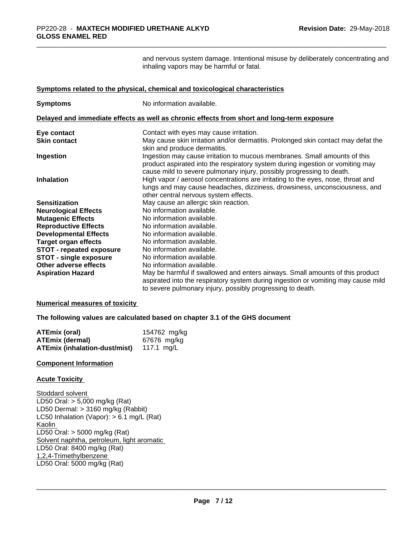and nervous system damage. Intentional misuse by deliberately concentrating and inhaling vapors may be harmful or fatal.

#### **Symptoms related to the physical, chemical and toxicological characteristics**

| <b>Symptoms</b>                 | No information available.                                                                                                                                                                                                            |
|---------------------------------|--------------------------------------------------------------------------------------------------------------------------------------------------------------------------------------------------------------------------------------|
|                                 | Delayed and immediate effects as well as chronic effects from short and long-term exposure                                                                                                                                           |
| Eye contact                     | Contact with eyes may cause irritation.                                                                                                                                                                                              |
| <b>Skin contact</b>             | May cause skin irritation and/or dermatitis. Prolonged skin contact may defat the<br>skin and produce dermatitis.                                                                                                                    |
| Ingestion                       | Ingestion may cause irritation to mucous membranes. Small amounts of this<br>product aspirated into the respiratory system during ingestion or vomiting may<br>cause mild to severe pulmonary injury, possibly progressing to death. |
| <b>Inhalation</b>               | High vapor / aerosol concentrations are irritating to the eyes, nose, throat and<br>lungs and may cause headaches, dizziness, drowsiness, unconsciousness, and<br>other central nervous system effects.                              |
| <b>Sensitization</b>            | May cause an allergic skin reaction.                                                                                                                                                                                                 |
| <b>Neurological Effects</b>     | No information available.                                                                                                                                                                                                            |
| <b>Mutagenic Effects</b>        | No information available.                                                                                                                                                                                                            |
| <b>Reproductive Effects</b>     | No information available.                                                                                                                                                                                                            |
| <b>Developmental Effects</b>    | No information available.                                                                                                                                                                                                            |
| <b>Target organ effects</b>     | No information available.                                                                                                                                                                                                            |
| <b>STOT - repeated exposure</b> | No information available.                                                                                                                                                                                                            |
| <b>STOT - single exposure</b>   | No information available.                                                                                                                                                                                                            |
| Other adverse effects           | No information available.                                                                                                                                                                                                            |
| <b>Aspiration Hazard</b>        | May be harmful if swallowed and enters airways. Small amounts of this product<br>aspirated into the respiratory system during ingestion or vomiting may cause mild<br>to severe pulmonary injury, possibly progressing to death.     |

**Numerical measures of toxicity**

**The following values are calculated based on chapter 3.1 of the GHS document**

| <b>ATEmix (oral)</b>                            | 154762 mg/kg |
|-------------------------------------------------|--------------|
| <b>ATEmix (dermal)</b>                          | 67676 mg/kg  |
| <b>ATEmix (inhalation-dust/mist)</b> 117.1 mg/L |              |

#### **Component Information**

#### **Acute Toxicity**

Stoddard solvent LD50 Oral: > 5,000 mg/kg (Rat) LD50 Dermal: > 3160 mg/kg (Rabbit) LC50 Inhalation (Vapor): > 6.1 mg/L (Rat) Kaolin LD50 Oral: > 5000 mg/kg (Rat) Solvent naphtha, petroleum, light aromatic LD50 Oral: 8400 mg/kg (Rat) 1,2,4-Trimethylbenzene LD50 Oral: 5000 mg/kg (Rat)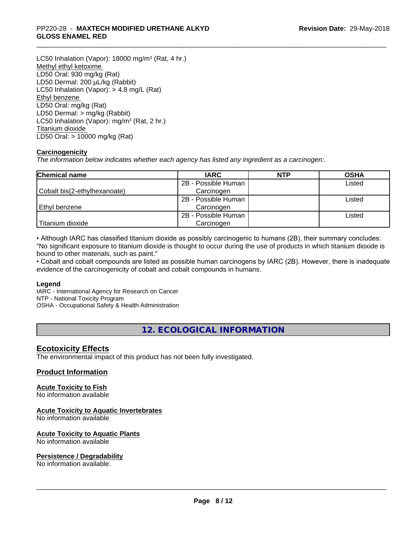#### \_\_\_\_\_\_\_\_\_\_\_\_\_\_\_\_\_\_\_\_\_\_\_\_\_\_\_\_\_\_\_\_\_\_\_\_\_\_\_\_\_\_\_\_\_\_\_\_\_\_\_\_\_\_\_\_\_\_\_\_\_\_\_\_\_\_\_\_\_\_\_\_\_\_\_\_\_\_\_\_\_\_\_\_\_\_\_\_\_\_\_\_\_ PP220-28 - **MAXTECH MODIFIED URETHANE ALKYD GLOSS ENAMEL RED**

LC50 Inhalation (Vapor): 18000 mg/m<sup>3</sup> (Rat, 4 hr.) Methyl ethyl ketoxime LD50 Oral: 930 mg/kg (Rat) LD50 Dermal: 200 µL/kg (Rabbit) LC50 Inhalation (Vapor): > 4.8 mg/L (Rat) Ethyl benzene LD50 Oral: mg/kg (Rat) LD50 Dermal: > mg/kg (Rabbit) LC50 Inhalation (Vapor): mg/m<sup>3</sup> (Rat, 2 hr.) Titanium dioxide LD50 Oral: > 10000 mg/kg (Rat)

#### **Carcinogenicity**

*The information below indicateswhether each agency has listed any ingredient as a carcinogen:.*

| <b>Chemical name</b>         | <b>IARC</b>         | <b>NTP</b> | <b>OSHA</b> |
|------------------------------|---------------------|------------|-------------|
|                              | 2B - Possible Human |            | Listed      |
| Cobalt bis(2-ethylhexanoate) | Carcinogen          |            |             |
|                              | 2B - Possible Human |            | Listed      |
| Ethyl benzene                | Carcinogen          |            |             |
|                              | 2B - Possible Human |            | Listed      |
| Titanium dioxide             | Carcinogen          |            |             |

• Although IARC has classified titanium dioxide as possibly carcinogenic to humans (2B), their summary concludes: "No significant exposure to titanium dioxide is thought to occur during the use of products in which titanium dioxide is bound to other materials, such as paint."

• Cobalt and cobalt compounds are listed as possible human carcinogens by IARC (2B). However, there is inadequate evidence of the carcinogenicity of cobalt and cobalt compounds in humans.

#### **Legend**

IARC - International Agency for Research on Cancer NTP - National Toxicity Program OSHA - Occupational Safety & Health Administration

**12. ECOLOGICAL INFORMATION**

### **Ecotoxicity Effects**

The environmental impact of this product has not been fully investigated.

#### **Product Information**

#### **Acute Toxicity to Fish**

No information available

#### **Acute Toxicity to Aquatic Invertebrates**

No information available

#### **Acute Toxicity to Aquatic Plants**

No information available

#### **Persistence / Degradability**

No information available.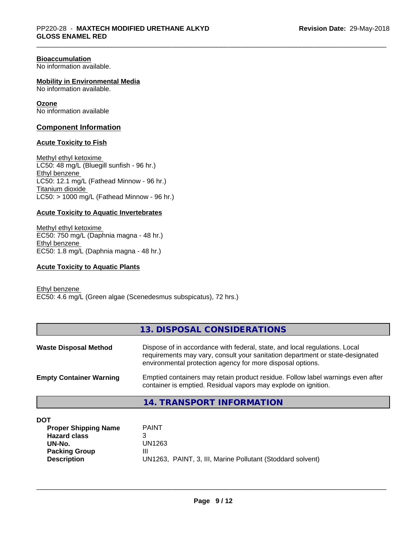#### **Bioaccumulation**

No information available.

#### **Mobility in Environmental Media**

No information available.

#### **Ozone**

No information available

#### **Component Information**

#### **Acute Toxicity to Fish**

Methyl ethyl ketoxime LC50: 48 mg/L (Bluegill sunfish - 96 hr.) Ethyl benzene LC50: 12.1 mg/L (Fathead Minnow - 96 hr.) Titanium dioxide  $LC50:$  > 1000 mg/L (Fathead Minnow - 96 hr.)

#### **Acute Toxicity to Aquatic Invertebrates**

Methyl ethyl ketoxime EC50: 750 mg/L (Daphnia magna - 48 hr.) Ethyl benzene EC50: 1.8 mg/L (Daphnia magna - 48 hr.)

#### **Acute Toxicity to Aquatic Plants**

Ethyl benzene EC50: 4.6 mg/L (Green algae (Scenedesmus subspicatus), 72 hrs.)

| 13. DISPOSAL CONSIDERATIONS |
|-----------------------------|
|-----------------------------|

| <b>Waste Disposal Method</b>   | Dispose of in accordance with federal, state, and local regulations. Local<br>requirements may vary, consult your sanitation department or state-designated<br>environmental protection agency for more disposal options. |
|--------------------------------|---------------------------------------------------------------------------------------------------------------------------------------------------------------------------------------------------------------------------|
| <b>Empty Container Warning</b> | Emptied containers may retain product residue. Follow label warnings even after<br>container is emptied. Residual vapors may explode on ignition.                                                                         |

#### **14. TRANSPORT INFORMATION**

| <b>PAINT</b>                                               |
|------------------------------------------------------------|
|                                                            |
| UN1263                                                     |
| Ш                                                          |
| UN1263, PAINT, 3, III, Marine Pollutant (Stoddard solvent) |
|                                                            |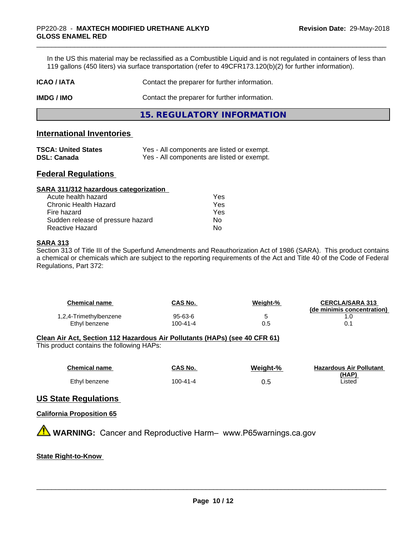In the US this material may be reclassified as a Combustible Liquid and is not regulated in containers of less than 119 gallons (450 liters) via surface transportation (refer to 49CFR173.120(b)(2) for further information).

| ICAO / IATA | Contact the preparer for further information. |
|-------------|-----------------------------------------------|
|             |                                               |

**IMDG / IMO** Contact the preparer for further information.

**15. REGULATORY INFORMATION**

#### **International Inventories**

| <b>TSCA: United States</b> | Yes - All components are listed or exempt. |
|----------------------------|--------------------------------------------|
| <b>DSL: Canada</b>         | Yes - All components are listed or exempt. |

#### **Federal Regulations**

| SARA 311/312 hazardous categorization |     |  |
|---------------------------------------|-----|--|
| Acute health hazard                   | Yes |  |
| Chronic Health Hazard                 | Yes |  |
| Fire hazard                           | Yes |  |
| Sudden release of pressure hazard     | Nο  |  |
| Reactive Hazard                       | No  |  |

#### **SARA 313**

Section 313 of Title III of the Superfund Amendments and Reauthorization Act of 1986 (SARA). This product contains a chemical or chemicals which are subject to the reporting requirements of the Act and Title 40 of the Code of Federal Regulations, Part 372:

| Chemical name          | CAS No.        | Weiaht-% | <b>CERCLA/SARA 313</b><br>(de minimis concentration) |
|------------------------|----------------|----------|------------------------------------------------------|
| 1,2,4-Trimethylbenzene | 95-63-6        |          |                                                      |
| Ethyl benzene          | $100 - 41 - 4$ | 0.5      |                                                      |

#### **Clean Air Act,Section 112 Hazardous Air Pollutants (HAPs) (see 40 CFR 61)**

This product contains the following HAPs:

| <b>Chemical name</b> | <b>CAS No.</b> | Weight-% | <b>Hazardous Air Pollutant</b> |
|----------------------|----------------|----------|--------------------------------|
|                      |                |          | (HAP)                          |
| Ethyl benzene        | 100-41-4       | ບ.ບ      | Listed                         |

### **US State Regulations**

#### **California Proposition 65**

**A** WARNING: Cancer and Reproductive Harm– www.P65warnings.ca.gov

#### **State Right-to-Know**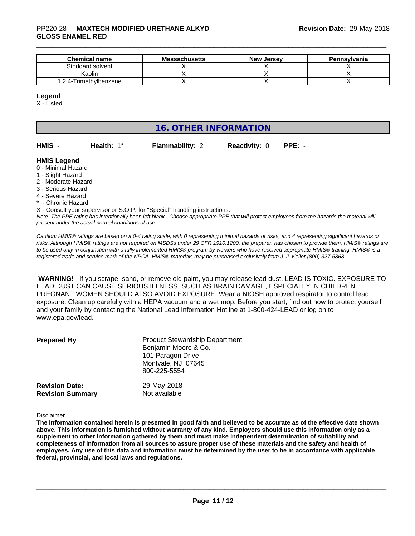#### \_\_\_\_\_\_\_\_\_\_\_\_\_\_\_\_\_\_\_\_\_\_\_\_\_\_\_\_\_\_\_\_\_\_\_\_\_\_\_\_\_\_\_\_\_\_\_\_\_\_\_\_\_\_\_\_\_\_\_\_\_\_\_\_\_\_\_\_\_\_\_\_\_\_\_\_\_\_\_\_\_\_\_\_\_\_\_\_\_\_\_\_\_ PP220-28 - **MAXTECH MODIFIED URETHANE ALKYD GLOSS ENAMEL RED**

| <b>Chemical name</b>   | <b>Massachusetts</b> | <b>New Jersey</b> | Pennsylvania |
|------------------------|----------------------|-------------------|--------------|
| Stoddard solvent       |                      |                   |              |
| Kaolin                 |                      |                   |              |
| 1,2,4-Trimethylbenzene |                      |                   |              |

#### **Legend**

X - Listed

# **16. OTHER INFORMATION**

| HMIS | Health |
|------|--------|

**h:** 1\* **Flammability: 2 Reactivity: 0 PPE:** -

#### **HMIS Legend**

- 0 Minimal Hazard
- 1 Slight Hazard
- 2 Moderate Hazard
- 3 Serious Hazard
- 4 Severe Hazard
- \* Chronic Hazard

*Note: The PPE rating has intentionally been left blank. Choose appropriate PPE that will protect employees from the hazards the material will* X - Consult your supervisor or S.O.P. for "Special" handling instructions.

*present under the actual normal conditions of use.*

*Caution: HMISÒ ratings are based on a 0-4 rating scale, with 0 representing minimal hazards or risks, and 4 representing significant hazards or risks. Although HMISÒ ratings are not required on MSDSs under 29 CFR 1910.1200, the preparer, has chosen to provide them. HMISÒ ratings are to be used only in conjunction with a fully implemented HMISÒ program by workers who have received appropriate HMISÒ training. HMISÒ is a registered trade and service mark of the NPCA. HMISÒ materials may be purchased exclusively from J. J. Keller (800) 327-6868.*

 **WARNING!** If you scrape, sand, or remove old paint, you may release lead dust. LEAD IS TOXIC. EXPOSURE TO LEAD DUST CAN CAUSE SERIOUS ILLNESS, SUCH AS BRAIN DAMAGE, ESPECIALLY IN CHILDREN. PREGNANT WOMEN SHOULD ALSO AVOID EXPOSURE. Wear a NIOSH approved respirator to control lead exposure. Clean up carefully with a HEPA vacuum and a wet mop. Before you start, find out how to protect yourself and your family by contacting the National Lead Information Hotline at 1-800-424-LEAD or log on to www.epa.gov/lead.

| <b>Prepared By</b>                               | <b>Product Stewardship Department</b><br>Benjamin Moore & Co.<br>101 Paragon Drive<br>Montvale, NJ 07645<br>800-225-5554 |  |
|--------------------------------------------------|--------------------------------------------------------------------------------------------------------------------------|--|
| <b>Revision Date:</b><br><b>Revision Summary</b> | 29-May-2018<br>Not available                                                                                             |  |

Disclaimer

The information contained herein is presented in good faith and believed to be accurate as of the effective date shown above. This information is furnished without warranty of any kind. Employers should use this information only as a **supplement to other information gathered by them and must make independent determination of suitability and** completeness of information from all sources to assure proper use of these materials and the safety and health of employees. Any use of this data and information must be determined by the user to be in accordance with applicable **federal, provincial, and local laws and regulations.**